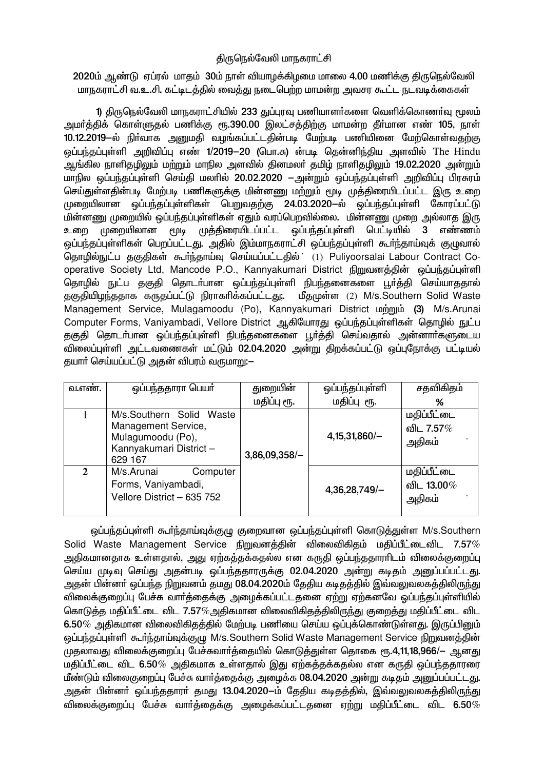## திருநெல்வேலி மாநகராட்சி

2020ம் ஆண்டு ஏப்ரல் மாதம் 30ம் நாள் வியாழக்கிழமை மாலை 4.00 மணிக்கு திருநெல்வேலி மாநகராட்சி வ.உ.சி. கட்டிடத்தில் வைத்து நடைபெற்ற மாமன்ற அவசர கூட்ட நடவடிக்கைகள்

1) திருநெல்வேலி மாநகராட்சியில் 233 துப்புரவு பணியாளர்களை வெளிக்கொணர்வு மூலம் அமா்த்திக் கொள்ளுதல் பணிக்கு ரூ.390.00 இலட்சத்திற்கு மாமன்ற தீா்மான எண் 105, நாள் 10.12.2019-ல் நிர்வாக அனுமதி வழங்கப்பட்டதின்படி மேற்படி பணியினை மேற்கொள்வதற்கு லப்பந்தப்புள்ளி அறிவிப்பு எண் 1/2019–20 (பொ.சு) ன்படி தென்னிந்திய அளவில் The Hindu ஆங்கில நாளிதழிலும் மற்றும் மாநில அளவில் தினமலா் தமிம் நாளிதழிலும் 19.02.2020 அன்றும் மாநில ஒப்பந்தப்புள்ளி செய்தி மலரில் 20.02.2020 – அன்றும் ஒப்பந்தப்புள்ளி அறிவிப்பு பிரசுரம் செய்துள்ளதின்படி மேற்படி பணிகளுக்கு மின்னணு மற்றும் மூடி முத்திரையிடப்பட்ட இரு உறை முறையிலான ஒப்பந்தப்புள்ளிகள் பெறுவதற்கு 24.03.2020–ல் ஒப்பந்தப்புள்ளி கோரப்பட்டு .<br>மின்னணு முறையில் ஒப்பந்தப்புள்ளிகள் எதும் வரப்பெறவில்லை. மின்னணு முறை அல்லாக இரு உறை முறையிலான மூடி முத்திரையிடப்பட்ட ஒப்பந்தப்புள்ளி பெட்டியில்  $\mathbf{3}$ எண்ணம் ஒப்பந்தப்புள்ளிகள் பெறப்பட்டது. அதில் இம்மாநகராட்சி ஒப்பந்தப்புள்ளி கூர்ந்தாய்வுக் குமுவால் தொழில்நுட்ப தகுதிகள் கூர்ந்தாய்வு செய்யப்பட்டதில் (1) Puliyoorsalai Labour Contract Cooperative Society Ltd, Mancode P.O., Kannyakumari District நிறுவனத்தின் ஒப்பந்தப்புள்ளி தொழில் நுட்ப தகுதி தொடர்பான ஒப்பந்தப்புள்ளி நிபந்தனைகளை பூர்த்தி செய்யாததால் தகுதியிழந்ததாக கருதப்பட்டு நிராகரிக்கப்பட்டது. மீதமுள்ள (2) M/s Southern Solid Waste Management Service, Mulagamoodu (Po), Kannyakumari District  $\omega_{n}$ mu (3) M/s.Arunai Computer Forms, Vaniyambadi, Vellore District ஆகியோரது ஒப்பந்தப்புள்ளிகள் தொழில் நுட்ப ் தகுதி தொடா்பான ஒப்பந்தப்புள்ளி நிபந்தனைகளை பூா்த்தி செய்வதால் அன்னாா்களுடைய .<br>விலைப்புள்ளி அட்டவணைகள் மட்டும் 02.04.2020 அன்று கிறக்கப்பட்டு ஒப்புநோக்கு பட்டியல் தயார் செய்யப்பட்டு அதன் விபரம் வருமாறு:-

| வ.எண். | ஒப்பந்ததாரா பெயர்                                                                                         | துறையின்        | ஒப்பந்தப்புள்ளி | சதவிகிதம்                                   |
|--------|-----------------------------------------------------------------------------------------------------------|-----------------|-----------------|---------------------------------------------|
|        |                                                                                                           | மதிப்பு ரூ.     | மதிப்பு ரூ.     | %                                           |
|        | M/s.Southern Solid Waste<br>Management Service,<br>Mulagumoodu (Po),<br>Kannyakumari District-<br>629 167 | $3,86,09,358/-$ | $4,15,31,860/-$ | மதிப்பீட்டை<br>வி∟ 7.57%<br>அதிகம்          |
| 2      | M/s.Arunai<br>Computer<br>Forms, Vaniyambadi,<br>Vellore District - 635 752                               |                 | $4,36,28,749/-$ | மதிப்பீட்டை<br>வி∟ 13.00 <i>%</i><br>அதிகம் |

ஒப்பந்தப்புள்ளி கூர்ந்தாய்வுக்குழு குறைவான ஒப்பந்தப்புள்ளி கொடுத்துள்ள M/s.Southern Solid Waste Management Service நிறுவனத்தின் விலைவிகிதம் மதிப்பீட்டைவிட 7.57% அதிகமானதாக உள்ளதால், அது ஏற்கத்தக்கதல்ல என கருதி ஒப்பந்ததாராிடம் விலைக்குறைப்பு செய்ய முடிவு செய்து அதன்படி ஒப்பந்ததாரருக்கு 02.04.2020 அன்று கடிதம் அனுப்பப்பட்டது. அதன் பின்னர் ஒப்பந்த நிறுவனம் தமது 08.04.2020ம் தேதிய கடிதத்தில் இவ்வலுவலகத்திலிருந்து விலைக்குறைப்பு பேச்சு வார்த்தைக்கு அழைக்கப்பட்டதனை ஏற்று ஏற்கனவே ஒப்பந்தப்புள்ளியில் கொடுத்த மதிப்பீட்டை விட 7.57%அதிகமான விலைவிகிதத்திலிருந்து குறைத்து மதிப்பீட்டை விட  $6.50\%$  அதிகமான விலைவிகிகத்தில் மேற்படி பணியை செய்ய ஒப்புக்கொண்டுள்ளது. இருப்பினும் லப்பந்தப்பள்ளி கூர்ந்தாய்வக்குமு M/s.Southern Solid Waste Management Service நிறுவனக்கின் முதலாவது விலைக்குறைப்பு பேச்சுவார்த்தையில் கொடுத்துள்ள தொகை ரூ.4,11,18,966/— ஆனது .<br>மகிப்பீட்டை விட 6.50*%* அதிகமாக உள்ளதால் இது ஏற்கத்தக்கதல்ல என கருதி ஒப்பந்ததாரரை மீண்டும் விலைகுறைப்பு பேச்சு வார்த்தைக்கு அழைக்க 08.04.2020 அன்று கடிதம் அனுப்பப்பட்டது. அதன் பின்னா் ஒப்பந்ததாரா் தமது 13.04.2020-ம் தேதிய கடிதத்தில், இவ்வலுவலகத்திலிருந்து விலைக்குறைப்பு பேச்சு வார்க்கைக்கு அமைக்கப்பட்டகனை ஏற்று மகிப்பீட்டை விட  $6.50\%$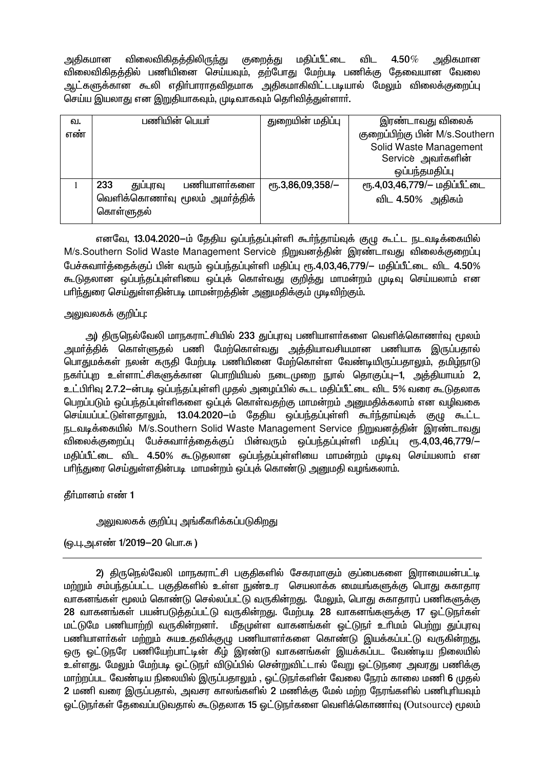அதிகமான விலைவிகிதத்திலிருந்து குறைத்து மதிப்பீட்டை விட  $4.50\%$ அதிகமான விலைவிகிதத்தில் பணியினை செய்யவும், தற்போது மேற்படி பணிக்கு தேவையான வேலை ஆட்களுக்கான கூலி எதிா்பாராதவிதமாக அதிகமாகிவிட்டபடியால் மேலும் விலைக்குறைப்பு செய்ய இயலாது என இறுதியாகவும், முடிவாகவும் தெரிவித்துள்ளார்.

| வ.  | பணியின் பெயர்                   | துறையின் மதிப்பு        | இரண்டாவது விலைக்               |
|-----|---------------------------------|-------------------------|--------------------------------|
| எண் |                                 |                         | குறைப்பிற்கு பின் M/s.Southern |
|     |                                 |                         | Solid Waste Management         |
|     |                                 |                         | Service அவர்களின்              |
|     |                                 |                         | ஒப்பந்தமதிப்பு                 |
|     | பணியாளர்களை<br>233<br>துப்புரவு | $e$ гҕ.3,86,09,358/ $-$ | ரு.4,03,46,779/- மதிப்பீட்டை   |
|     | வெளிக்கொணா்வு மூலம் அமா்த்திக்  |                         | விட 4.50% அதிகம்               |
|     | கொள்ளுதல்                       |                         |                                |
|     |                                 |                         |                                |

எனவே, 13.04.2020-ம் தேதிய ஒப்பந்தப்புள்ளி கூர்ந்தாய்வுக் குழு கூட்ட நடவடிக்கையில் M/s.Southern Solid Waste Management Service நிறுவனத்தின் இரண்டாவது விலைக்குறைப்பு பேச்சுவார்த்தைக்குப் பின் வரும் ஒப்பந்தப்புள்ளி மதிப்பு ரூ.4,03,46,779/– மதிப்பீட்டை விட 4.50% கூடுதலான ஒப்பந்தப்புள்ளியை ஒப்புக் கொள்வது குறித்து மாமன்றம் முடிவு செய்யலாம் என பரிந்துரை செய்துள்ளதின்படி மாமன்றத்தின் அனுமதிக்கும் முடிவிற்கும்.

### அலுவலகக் குறிப்பு:

அ) திருநெல்வேலி மாநகராட்சியில் 233 துப்புரவு பணியாளர்களை வெளிக்கொணர்வு மூலம் அமா்த்திக் கொள்ளுகல் பணி மேற்கொள்வது அத்தியாவசியமான பணியாக இருப்பதால் பொதுமக்கள் நலன் கருதி மேற்படி பணியினை மேற்கொள்ள வேண்டியிருப்பதாலும், தமிழ்நாடு நகா்ப்புற உள்ளாட்சிகளுக்கான பொறியியல் நடைமுறை நூல் தொகுப்பு—1, அத்தியாயம் 2, உட்பிரிவு 2.7.2—ன்படி ஒப்பந்தப்புள்ளி முதல் அமைப்பில் கூட மதிப்பீட்டை விட 5% வரை கூடுதலாக பெறப்படும் ஒப்பந்தப்புள்ளிகளை ஒப்புக் கொள்வதற்கு மாமன்றம் அனுமதிக்கலாம் என வழிவகை செய்யப்பட்டுள்ளதாலும், 13.04.2020-ம் தேதிய ஒப்பந்தப்புள்ளி கூர்ந்தாய்வுக் குழு கூட்ட நடவடிக்கையில் M/s.Southern Solid Waste Management Service நிறுவனத்தின் இரண்டாவது விலைக்குறைப்பு பேச்சுவார்த்தைக்குப் பின்வரும் ஒப்பந்தப்புள்ளி மதிப்பு ரூ.4,03,46,779/— மதிப்பீட்டை விட 4.50% கூடுகலான ஒப்பந்தப்புள்ளியை மாமன்றம் முடிவு செய்யலாம் என பரிந்துரை செய்துள்ளதின்படி மாமன்றம் ஒப்புக் கொண்டு அனுமதி வழங்கலாம்.

# தீர்மானம் எண் 1

# அலுவலகக் குறிப்பு அங்கீகரிக்கப்படுகிறது

### (ஒ.பு.அ.எண் 1/2019-20 பொ.சு)

2) திருநெல்வேலி மாநகராட்சி பகுதிகளில் சேகரமாகும் குப்பைகளை இராமையன்பட்டி மற்றும் சம்பந்தப்பட்ட பகுதிகளில் உள்ள நுண்உர செயலாக்க மையங்களுக்கு பொது சுகாதார வாகனங்கள் மூலம் கொண்டு செல்லப்பட்டு வருகின்றது. மேலும், பொது சுகாதாரப் பணிகளுக்கு 28 வாகனங்கள் பயன்படுத்தப்பட்டு வருகின்றது. மேற்படி 28 வாகனங்களுக்கு 17 ஓட்டுநா்கள் மட்டுமே பணியாற்றி வருகின்றனர். மீதமுள்ள வாகனங்கள் ஒட்டுநா் உரிமம் பெற்று துப்புரவு பணியாளா்கள் மற்றும் சுயஉதவிக்குழு பணியாளா்களை கொண்டு இயக்கப்பட்டு வருகின்றது. ஒரு ஒட்டுநரே பணியேற்பாட்டின் கீழ் இரண்டு வாகனங்கள் இயக்கப்பட வேண்டிய நிலையில் உள்ளது. மேலும் மேற்படி ஒட்டுநர் விடுப்பில் சென்றுவிட்டால் வேறு ஒட்டுநரை அவரது பணிக்கு மாற்றப்பட வேண்டிய நிலையில் இருப்பதாலும் , ஒட்டுநா்களின் வேலை நேரம் காலை மணி 6 முதல் 2 மணி வரை இருப்பதால், அவசர காலங்களில் 2 மணிக்கு மேல் மற்ற நேரங்களில் பணிபுரியவும் ஒட்டுநா்கள் தேவைப்படுவதால் கூடுதலாக 15 ஒட்டுநா்களை வெளிக்கொணா்வு (Outsource) மூலம்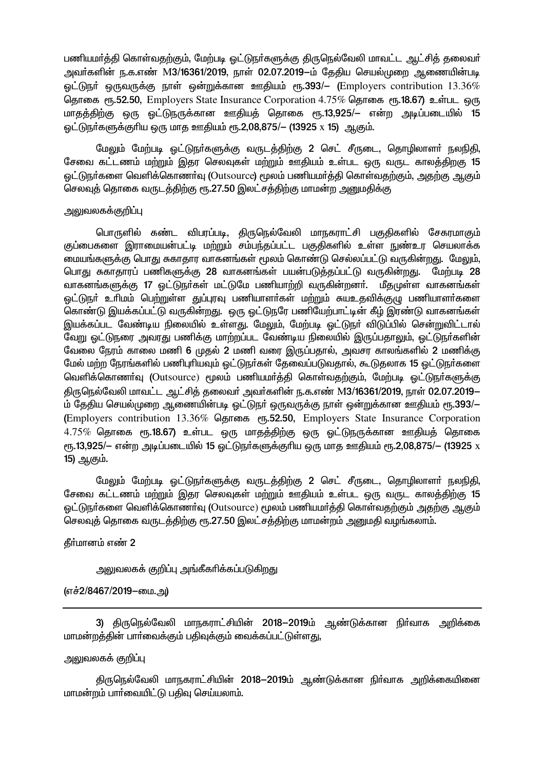பணியமர்த்தி கொள்வதற்கும், மேற்படி ஒட்டுநர்களுக்கு திருநெல்வேலி மாவட்ட ஆட்சித் தலைவர் அவர்களின் ந.க.எண் M3/16361/2019, நாள் 02.07.2019–ம் தேதிய செயல்முறை ஆணையின்படி ஒட்டுநா் ஒருவருக்கு நாள் ஒன்றுக்கான ஊதியம் ரூ.393/– (Employers contribution  $13.36\%$ தொகை ரூ.52.50, Employers State Insurance Corporation 4.75% கொகை ரூ.18.67) உள்பட ஒரு மாதத்திற்கு ஒரு ஓட்டுநருக்கான ஊதியத் தொகை ரூ.13,925/— என்ற அடிப்படையில் 15 ெட்டுநர்களுக்குரிய ஒரு மாக ஊகியம் ரூ.2.08.875/- (13925 x 15) ஆகும்.

மேலும் மேற்படி ஒட்டுநா்களுக்கு வருடத்திற்கு 2 செட் சீருடை, தொழிலாளா் நலநிதி, சேவை கட்டணம் மற்றும் இதர செலவுகள் மற்றும் ஊதியம் உள்பட ஒரு வருட காலத்திறகு 15 ெட்டுநாகளை வெளிக்கொணாவு (Outsource) மூலம் பணியமாக்கி கொள்வகற்கும். அகற்கு ஆகும் செலவுத் தொகை வருடத்திற்கு ரூ.27.50 இலட்சத்திற்கு மாமன்ற அனுமதிக்கு

#### அலுவலகக்குறிப்பு

பொருளில் கண்ட விபரப்படி, திருநெல்வேலி மாநகராட்சி பகுதிகளில் சேகரமாகும் குப்பைகளை இராமையன்பட்டி மற்றும் சம்பந்தப்பட்ட பகுதிகளில் உள்ள நுண்உர செயலாக்க மையங்களுக்கு பொது சுகாதார வாகனங்கள் மூலம் கொண்டு செல்லப்பட்டு வருகின்றது. மேலும், பொது சுகாதாரப் பணிகளுக்கு 28 வாகனங்கள் பயன்படுக்கப்பட்டு வருகின்றது. மேற்படி 28 வாகனங்களுக்கு 17 ஓட்டுநா்கள் மட்டுமே பணியாற்றி வருகின்றனா். மீதமுள்ள வாகனங்கள் .<br>ஓட்டுநா் உாிமம் பெற்றுள்ள துப்புரவு பணியாளா்கள் மற்றும் சுயஉகவிக்குமு பணியாளா்களை கொண்டு இயக்கப்பட்டு வருகின்றது. ஒரு ஒட்டுநரே பணியேற்பாட்டின் கீழ் இரண்டு வாகனங்கள் இயக்கப்பட வேண்டிய நிலையில் உள்ளது. மேலும், மேற்படி ஓட்டுநா் விடுப்பில் சென்றுவிட்டால் வேறு ஒட்டுநரை அவரது பணிக்கு மாற்றப்பட வேண்டிய நிலையில் இருப்பதாலும், ஒட்டுநாகளின் வேலை நேரம் காலை மணி 6 முதல் 2 மணி வரை இருப்பதால், அவசர காலங்களில் 2 மணிக்கு மேல் மற்ற நேரங்களில் பணிபுரியவும் ஓட்டுநர்கள் தேவைப்படுவதால், கூடுதலாக 15 ஓட்டுநர்களை வெளிக்கொணர்வு (Outsource) மூலம் பணியமர்த்தி கொள்வதற்கும், மேற்படி ஒட்டுநர்களுக்கு திருநெல்வேலி மாவட்ட ஆட்சித் தலைவர் அவர்களின் ந.க.எண் M3/16361/2019, நாள் 02.07.2019– ம் தேதிய செயல்முறை ஆணையின்படி ஒட்டுநா் ஒருவருக்கு நாள் ஒன்றுக்கான ஊதியம் ரூ.393/— (Employers contribution 13.36% தொகை ரூ.52.50, Employers State Insurance Corporation  $4.75\%$  தொகை ரூ.18.67) உள்பட ஒரு மாதத்திற்கு ஒரு ஒட்டுநருக்கான ஊதியத் தொகை ரு.13,925/– என்ற அடிப்படையில் 15 ஒட்டுநர்களுக்குரிய ஒரு மாத ஊதியம் ரூ.2,08,875/– (13925 x 15) ஆகும்.

மேலும் மேற்படி ஒட்டுநா்களுக்கு வருடத்திற்கு 2 செட் சீருடை, தொழிலாளா் நலநிதி, சேவை கட்டணம் மற்றும் இதர செலவுகள் மற்றும் ஊதியம் உள்பட ஒரு வருட காலத்திற்கு 15 ெட்டுநா்களை வெளிக்கொணா்வு (Outsource) மூலம் பணியமா்க்கி கொள்வகற்கும் அகற்கு ஆகும் செலவுத் தொகை வருடத்திற்கு ரூ.27.50 இலட்சத்திற்கு மாமன்றம் அனுமதி வழங்கலாம்.

தீர்மானம் எண் 2

அலுவலகக் குறிப்பு அங்கீகரிக்கப்படுகிறது

### (எச்2/8467/2019–மை.அ)

3) திருநெல்வேலி மாநகராட்சியின் 2018—2019ம் ஆண்டுக்கான நிர்வாக அறிக்கை மாமன்றத்தின் பார்வைக்கும் பதிவுக்கும் வைக்கப்பட்டுள்ளது,

### அலுவலகக் குறிப்பு

திருநெல்வேலி மாநகராட்சியின் 2018—2019ம் ஆண்டுக்கான நிர்வாக அறிக்கையினை மாமன்றம் பார்வையிட்டு பதிவு செய்யலாம்.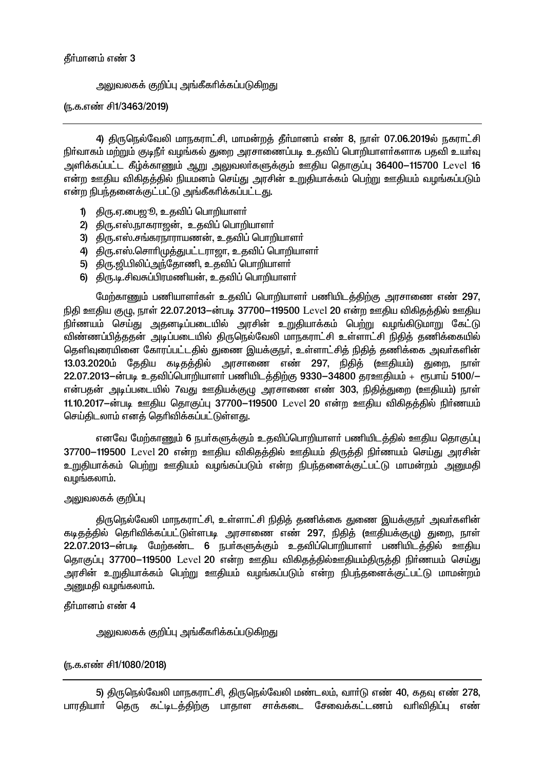### அலுவலகக் குறிப்பு அங்கீகரிக்கப்படுகிறது

#### (ந.க.எண் சி1/3463/2019)

4) திருநெல்வேலி மாநகராட்சி, மாமன்றத் தீர்மானம் எண் 8, நாள் 07.06.2019ல் நகராட்சி நிர்வாகம் மற்றும் குடிநீர் வழங்கல் துறை அரசாணைப்படி உதவிப் பொறியாளர்களாக பதவி உயர்வு அளிக்கப்பட்ட கீழ்க்காணும் ஆறு அலுவலர்களுக்கும் ஊகிய தொகுப்பு 36400–115700 Level 16 என்ற ஊதிய விகிதத்தில் நியமனம் செய்து அரசின் உறுதியாக்கம் பெற்று ஊதியம் வழங்கப்படும் என்ற நிபந்தனைக்குட்பட்டு அங்கீகரிக்கப்பட்டது.

- 1) திரு.ஏ.பைஜூ, உதவிப் பொறியாளா்
- 2) திரு.எஸ்.நாகராஜன், உதவிப் பொறியாளா்
- 3) திரு.எஸ்.சங்கரநாராயணன், உதவிப் பொறியாளர்
- 4) திரு.எஸ்.சொரிமுத்துபட்டராஜா, உதவிப் பொறியாளா்
- 5) திரு.ஜி.பிலிப்அந்தோணி, உதவிப் பொறியாளா்
- 6) திரு.டி.சிவசுப்பிரமணியன், உதவிப் பொறியாளா்

மேற்காணும் பணியாளர்கள் உதவிப் பொறியாளர் பணியிடத்திற்கு அரசாணை எண் 297, நிதி ஊதிய குழு, நாள் 22.07.2013—ன்படி 37700—119500 Level 20 என்ற ஊதிய விகிதத்தில் ஊதிய .<br>நிா்ணயம் செய்து அதனடிப்படையில் அரசின் உறுதியாக்கம் பெற்று வழங்கிடுமாறு கேட்டு விண்ணப்பித்ததன் அடிப்படையில் திருநெல்வேலி மாநகராட்சி உள்ளாட்சி நிதித் தணிக்கையில் தெளிவுரையினை கோரப்பட்டதில் துணை இயக்குநர், உள்ளாட்சித் நிதித் தணிக்கை அவர்களின் 13.03.2020ம் தேதிய கடிதத்தில் அரசாணை எண் 297, நிதித் (ஊதியம்) துறை, நாள் 22.07.2013-ன்படி உதவிப்பொறியாளர் பணியிடத்திற்கு 9330-34800 தரஊதியம் + ரூபாய் 5100/-என்பதன் அடிப்படையில் 7வது ஊதியக்குழு அரசாணை எண் 303, நிதித்துறை (ஊதியம்) நாள் 11.10.2017-ன்படி ஊதிய தொகுப்பு 37700–119500 Level 20 என்ற ஊதிய விகிதத்தில் நிர்ணயம் செய்திடலாம் எனத் தெரிவிக்கப்பட்டுள்ளது.

எனவே மேற்காணும் 6 நபர்களுக்கும் உதவிப்பொறியாளர் பணியிடத்தில் ஊதிய தொகுப்பு 37700–119500 Level 20 என்ற ஊதிய விகிதத்தில் ஊதியம் திருத்தி நிர்ணயம் செய்து அரசின் <u>உறுதியாக்கம் பெற்று ஊதியம் வழங்கப்படும் என்ற நிபந்தனைக்குட்பட்டு மாமன்றம் அனுமதி</u> வழங்கலாம்.

### அலுவலகக் குறிப்பு

திருநெல்வேலி மாநகராட்சி, உள்ளாட்சி நிதித் தணிக்கை துணை இயக்குநா் அவா்களின் கடிதத்தில் தெரிவிக்கப்பட்டுள்ளபடி அரசாணை எண் 297, நிதித் (ஊதியக்குமு) துறை, நாள் 22.07.2013—ன்படி மேற்கண்ட 6 நபர்களுக்கும் உதவிப்பொறியாளர் பணியிடத்தில் ஊதிய தொகுப்பு 37700–119500 Level 20 என்ற ஊதிய விகிதத்தில்ஊதியம்திருத்தி நிர்ணயம் செய்து அரசின் உறுதியாக்கம் பெற்று ஊதியம் வழங்கப்படும் என்ற நிபந்தனைக்குட்பட்டு மாமன்றம் அனுமதி வழங்கலாம்.

### தீர்மானம் எண் 4

அலுவலகக் குறிப்பு அங்கீகரிக்கப்படுகிறது

#### (ந.க.எண் சி1/1080/2018)

5) திருநெல்வேலி மாநகராட்சி, திருநெல்வேலி மண்டலம், வார்டு எண் 40, கதவு எண் 278, பாரதியார் தெரு கட்டிடத்திற்கு பாதாள சாக்கடை சேவைக்கட்டணம் வரிவிதிப்பு எண்